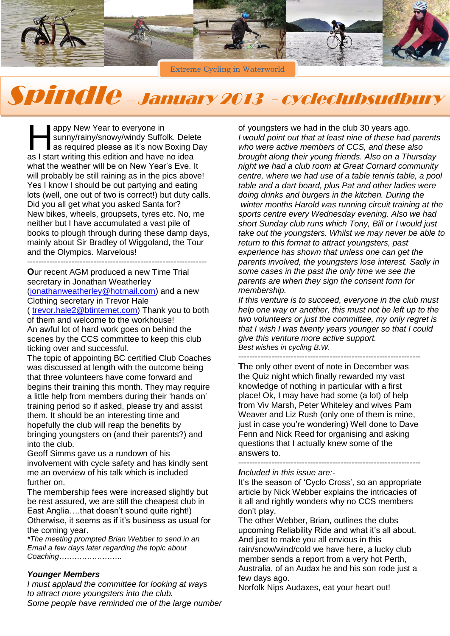

Extreme Cycling in Waterworld

# Spindle – January 2013 - cycleclubsudbury

appy New Year to everyone in sunny/rainy/snowy/windy Suffolk. Delete as required please as it's now Boxing Day appy New Year to everyone in<br>
sunny/rainy/snowy/windy Suffolk. Delet<br>
as required please as it's now Boxing I<br>
as I start writing this edition and have no idea what the weather will be on New Year's Eve. It will probably be still raining as in the pics above! Yes I know I should be out partying and eating lots (well, one out of two is correct!) but duty calls. Did you all get what you asked Santa for? New bikes, wheels, groupsets, tyres etc. No, me neither but I have accumulated a vast pile of books to plough through during these damp days, mainly about Sir Bradley of Wiggoland, the Tour and the Olympics. Marvelous!

-----------------------------------------------------------------

**O**ur recent AGM produced a new Time Trial secretary in Jonathan Weatherley [\(jonathanweatherley@hotmail.com\)](mailto:jonathanweatherley@hotmail.com) and a new

Clothing secretary in Trevor Hale

( [trevor.hale2@btinternet.com\)](mailto:trevor.hale2@btinternet.com) Thank you to both of them and welcome to the workhouse! An awful lot of hard work goes on behind the scenes by the CCS committee to keep this club ticking over and successful.

The topic of appointing BC certified Club Coaches was discussed at length with the outcome being that three volunteers have come forward and begins their training this month. They may require a little help from members during their 'hands on' training period so if asked, please try and assist them. It should be an interesting time and hopefully the club will reap the benefits by bringing youngsters on (and their parents?) and into the club.

Geoff Simms gave us a rundown of his involvement with cycle safety and has kindly sent me an overview of his talk which is included further on.

The membership fees were increased slightly but be rest assured, we are still the cheapest club in East Anglia….that doesn't sound quite right!) Otherwise, it seems as if it's business as usual for the coming year.

*\*The meeting prompted Brian Webber to send in an Email a few days later regarding the topic about Coaching…………………….*

#### *Younger Members*

*I must applaud the committee for looking at ways to attract more youngsters into the club. Some people have reminded me of the large number* of youngsters we had in the club 30 years ago. *I would point out that at least nine of these had parents who were active members of CCS, and these also brought along their young friends. Also on a Thursday night we had a club room at Great Cornard community centre, where we had use of a table tennis table, a pool table and a dart board, plus Pat and other ladies were doing drinks and burgers in the kitchen. During the winter months Harold was running circuit training at the sports centre every Wednesday evening. Also we had short Sunday club runs which Tony, Bill or I would just take out the youngsters. Whilst we may never be able to return to this format to attract youngsters, past experience has shown that unless one can get the parents involved, the youngsters lose interest. Sadly in some cases in the past the only time we see the parents are when they sign the consent form for membership.*

*If this venture is to succeed, everyone in the club must help one way or another, this must not be left up to the two volunteers or just the committee, my only regret is that I wish I was twenty years younger so that I could give this venture more active support. Best wishes in cycling B.W.* 

------------------------------------------------------------------ **T**he only other event of note in December was the Quiz night which finally rewarded my vast knowledge of nothing in particular with a first place! Ok, I may have had some (a lot) of help from Viv Marsh, Peter Whiteley and wives Pam Weaver and Liz Rush (only one of them is mine, just in case you're wondering) Well done to Dave Fenn and Nick Reed for organising and asking questions that I actually knew some of the answers to. ------------------------------------------------------------------

#### *Included in this issue are:-*

It's the season of 'Cyclo Cross', so an appropriate article by Nick Webber explains the intricacies of it all and rightly wonders why no CCS members don't play.

The other Webber, Brian, outlines the clubs upcoming Reliability Ride and what it's all about. And just to make you all envious in this rain/snow/wind/cold we have here, a lucky club member sends a report from a very hot Perth, Australia, of an Audax he and his son rode just a few days ago.

Norfolk Nips Audaxes, eat your heart out!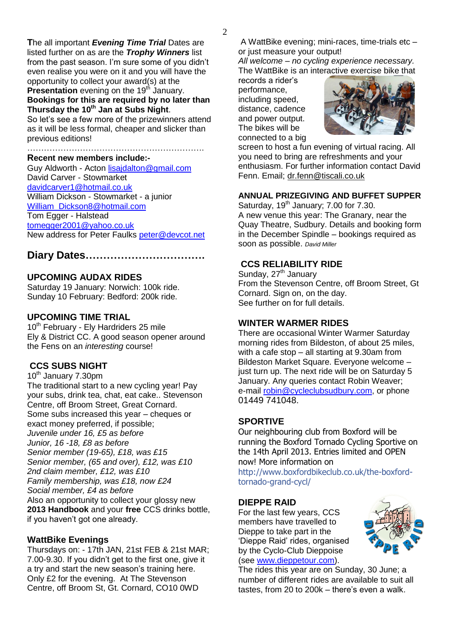**T**he all important *Evening Time Trial* Dates are listed further on as are the *Trophy Winners* list from the past season. I'm sure some of you didn't even realise you were on it and you will have the opportunity to collect your award(s) at the **Presentation** evening on the 19<sup>th</sup> January. **Bookings for this are required by no later than** 

## **Thursday the 10th Jan at Subs Night**.

So let's see a few more of the prizewinners attend as it will be less formal, cheaper and slicker than previous editions!

#### ………………………………………………………. **Recent new members include:-**

Guy Aldworth - Acton [lisajdalton@gmail.com](mailto:lisajdalton@gmail.com) David Carver - Stowmarket [davidcarver1@hotmail.co.uk](mailto:davidcarver1@hotmail.co.uk) William Dickson - Stowmarket - a junior [William\\_Dickson8@hotmail.com](mailto:William_Dickson8@hotmail.com) Tom Egger - Halstead [tomegger2001@yahoo.co.uk](mailto:tomegger2001@yahoo.co.uk) New address for Peter Faulks [peter@devcot.net](mailto:peter@devcot.net)

# **Diary Dates…………………………….**

## **UPCOMING AUDAX RIDES**

Saturday 19 January: Norwich: 100k ride. Sunday 10 February: Bedford: 200k ride.

### **UPCOMING TIME TRIAL**

10<sup>th</sup> February - Ely Hardriders 25 mile Ely & District CC. A good season opener around the Fens on an *interesting* course!

## **CCS SUBS NIGHT**

10<sup>th</sup> January 7.30pm The traditional start to a new cycling year! Pay your subs, drink tea, chat, eat cake.. Stevenson Centre, off Broom Street, Great Cornard. Some subs increased this year – cheques or exact money preferred, if possible; *Juvenile under 16, £5 as before Junior, 16 -18, £8 as before Senior member (19-65), £18, was £15 Senior member, (65 and over), £12, was £10 2nd claim member, £12, was £10 Family membership, was £18, now £24 Social member, £4 as before* Also an opportunity to collect your glossy new **2013 Handbook** and your **free** CCS drinks bottle, if you haven't got one already.

## **WattBike Evenings**

Thursdays on: - 17th JAN, 21st FEB & 21st MAR; 7.00-9.30. If you didn't get to the first one, give it a try and start the new season's training here. Only £2 for the evening. At The Stevenson Centre, off Broom St, Gt. Cornard, CO10 0WD

A WattBike evening; mini-races, time-trials etc – or just measure your output!

*All welcome – no cycling experience necessary.*  The WattBike is an interactive exercise bike that

records a rider's performance, including speed, distance, cadence and power output. The bikes will be connected to a big



screen to host a fun evening of virtual racing. All you need to bring are refreshments and your enthusiasm. For further information contact David Fenn. Email; [dr.fenn@tiscali.co.uk](mailto:dr.fenn@tiscali.co.uk)

## **ANNUAL PRIZEGIVING AND BUFFET SUPPER**

Saturday,  $19<sup>th</sup>$  January; 7.00 for 7.30. A new venue this year: The Granary, near the Quay Theatre, Sudbury. Details and booking form in the December Spindle – bookings required as soon as possible. *David Miller*

## **CCS RELIABILITY RIDE**

Sunday, 27<sup>th</sup> January From the Stevenson Centre, off Broom Street, Gt Cornard. Sign on, on the day. See further on for full details.

## **WINTER WARMER RIDES**

There are occasional Winter Warmer Saturday morning rides from Bildeston, of about 25 miles, with a cafe stop – all starting at 9.30am from Bildeston Market Square. Everyone welcome – just turn up. The next ride will be on Saturday 5 January. Any queries contact Robin Weaver; e-mail [robin@cycleclubsudbury.com,](mailto:robin@cycleclubsudbury.com) or phone 01449 741048.

## **SPORTIVE**

Our neighbouring club from Boxford will be running the Boxford Tornado Cycling Sportive on the 14th April 2013. Entries limited and OPEN now! More information on

[http://www.boxfordbikeclub.co.uk/the-boxford](http://www.facebook.com/l/uAQHqnihR/www.boxfordbikeclub.co.uk/the-boxford-tornado-grand-cycl/)[tornado-grand-cycl/](http://www.facebook.com/l/uAQHqnihR/www.boxfordbikeclub.co.uk/the-boxford-tornado-grand-cycl/)

## **DIEPPE RAID**

For the last few years, CCS members have travelled to Dieppe to take part in the 'Dieppe Raid' rides, organised by the Cyclo-Club Dieppoise (see [www.dieppetour.com\)](http://www.dieppetour.com/).



The rides this year are on Sunday, 30 June; a number of different rides are available to suit all tastes, from 20 to 200k – there's even a walk.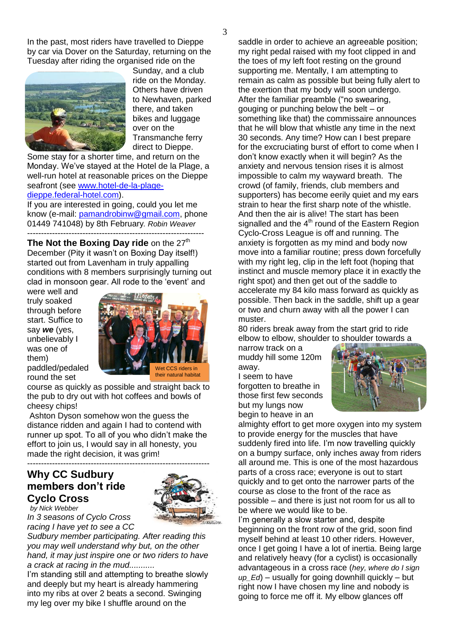In the past, most riders have travelled to Dieppe by car via Dover on the Saturday, returning on the Tuesday after riding the organised ride on the



Sunday, and a club ride on the Monday. Others have driven to Newhaven, parked there, and taken bikes and luggage over on the Transmanche ferry direct to Dieppe.

Some stay for a shorter time, and return on the Monday. We've stayed at the Hotel de la Plage, a well-run hotel at reasonable prices on the Dieppe seafront (see [www.hotel-de-la-plage](http://www.hotel-de-la-plage-dieppe.federal-hotel.com/)[dieppe.federal-hotel.com\)](http://www.hotel-de-la-plage-dieppe.federal-hotel.com/).

If you are interested in going, could you let me know (e-mail: [pamandrobinw@gmail.com,](mailto:pamandrobinw@gmail.com) phone 01449 741048) by 8th February*. Robin Weaver* ----------------------------------------------------------------

**The Not the Boxing Day ride** on the 27<sup>th</sup> December (Pity it wasn't on Boxing Day itself!) started out from Lavenham in truly appalling conditions with 8 members surprisingly turning out clad in monsoon gear. All rode to the 'event' and

were well and truly soaked through before start. Suffice to say *we* (yes, unbelievably I was one of them) paddled/pedaled round the set



course as quickly as possible and straight back to the pub to dry out with hot coffees and bowls of cheesy chips!

Ashton Dyson somehow won the guess the distance ridden and again I had to contend with runner up spot. To all of you who didn't make the effort to join us, I would say in all honesty, you made the right decision, it was grim!

## ------------------------------------------------------------------ **Why CC Sudbury members don't ride Cyclo Cross**



*by Nick Webber In 3 seasons of Cyclo Cross racing I have yet to see a CC* 

*Sudbury member participating. After reading this you may well understand why but, on the other hand, it may just inspire one or two riders to have a crack at racing in the mud...........*

I'm standing still and attempting to breathe slowly and deeply but my heart is already hammering into my ribs at over 2 beats a second. Swinging my leg over my bike I shuffle around on the

saddle in order to achieve an agreeable position; my right pedal raised with my foot clipped in and the toes of my left foot resting on the ground supporting me. Mentally, I am attempting to remain as calm as possible but being fully alert to the exertion that my body will soon undergo. After the familiar preamble ("no swearing, gouging or punching below the belt – or something like that) the commissaire announces that he will blow that whistle any time in the next 30 seconds. Any time? How can I best prepare for the excruciating burst of effort to come when I don't know exactly when it will begin? As the anxiety and nervous tension rises it is almost impossible to calm my wayward breath. The crowd (of family, friends, club members and supporters) has become eerily quiet and my ears strain to hear the first sharp note of the whistle. And then the air is alive! The start has been signalled and the  $4<sup>th</sup>$  round of the Eastern Region Cyclo-Cross League is off and running. The anxiety is forgotten as my mind and body now move into a familiar routine; press down forcefully with my right leg, clip in the left foot (hoping that instinct and muscle memory place it in exactly the right spot) and then get out of the saddle to accelerate my 84 kilo mass forward as quickly as possible. Then back in the saddle, shift up a gear or two and churn away with all the power I can muster.

80 riders break away from the start grid to ride elbow to elbow, shoulder to shoulder towards a

narrow track on a muddy hill some 120m away.

I seem to have forgotten to breathe in those first few seconds but my lungs now begin to heave in an



almighty effort to get more oxygen into my system to provide energy for the muscles that have suddenly fired into life. I'm now travelling quickly on a bumpy surface, only inches away from riders all around me. This is one of the most hazardous parts of a cross race; everyone is out to start quickly and to get onto the narrower parts of the course as close to the front of the race as possible – and there is just not room for us all to be where we would like to be.

I'm generally a slow starter and, despite beginning on the front row of the grid, soon find myself behind at least 10 other riders. However, once I get going I have a lot of inertia. Being large and relatively heavy (for a cyclist) is occasionally advantageous in a cross race (*hey, where do I sign up\_Ed*) – usually for going downhill quickly – but right now I have chosen my line and nobody is going to force me off it. My elbow glances off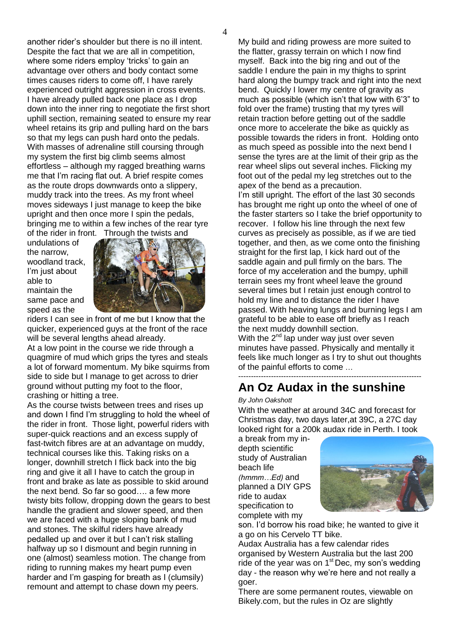another rider's shoulder but there is no ill intent. Despite the fact that we are all in competition, where some riders employ 'tricks' to gain an advantage over others and body contact some times causes riders to come off, I have rarely experienced outright aggression in cross events. I have already pulled back one place as I drop down into the inner ring to negotiate the first short uphill section, remaining seated to ensure my rear wheel retains its grip and pulling hard on the bars so that my legs can push hard onto the pedals. With masses of adrenaline still coursing through my system the first big climb seems almost effortless – although my ragged breathing warns me that I'm racing flat out. A brief respite comes as the route drops downwards onto a slippery, muddy track into the trees. As my front wheel moves sideways I just manage to keep the bike upright and then once more I spin the pedals,

bringing me to within a few inches of the rear tyre

undulations of the narrow, woodland track, I'm just about able to maintain the same pace and speed as the



riders I can see in front of me but I know that the quicker, experienced guys at the front of the race will be several lengths ahead already.

At a low point in the course we ride through a quagmire of mud which grips the tyres and steals a lot of forward momentum. My bike squirms from side to side but I manage to get across to drier ground without putting my foot to the floor, crashing or hitting a tree.

As the course twists between trees and rises up and down I find I'm struggling to hold the wheel of the rider in front. Those light, powerful riders with super-quick reactions and an excess supply of fast-twitch fibres are at an advantage on muddy, technical courses like this. Taking risks on a longer, downhill stretch I flick back into the big ring and give it all I have to catch the group in front and brake as late as possible to skid around the next bend. So far so good…. a few more twisty bits follow, dropping down the gears to best handle the gradient and slower speed, and then we are faced with a huge sloping bank of mud and stones. The skilful riders have already pedalled up and over it but I can't risk stalling halfway up so I dismount and begin running in one (almost) seamless motion. The change from riding to running makes my heart pump even harder and I'm gasping for breath as I (clumsily) remount and attempt to chase down my peers.

My build and riding prowess are more suited to the flatter, grassy terrain on which I now find myself. Back into the big ring and out of the saddle I endure the pain in my thighs to sprint hard along the bumpy track and right into the next bend. Quickly I lower my centre of gravity as much as possible (which isn't that low with 6'3" to fold over the frame) trusting that my tyres will retain traction before getting out of the saddle once more to accelerate the bike as quickly as possible towards the riders in front. Holding onto as much speed as possible into the next bend I sense the tyres are at the limit of their grip as the rear wheel slips out several inches. Flicking my foot out of the pedal my leg stretches out to the apex of the bend as a precaution.

I'm still upright. The effort of the last 30 seconds has brought me right up onto the wheel of one of the faster starters so I take the brief opportunity to recover. I follow his line through the next few curves as precisely as possible, as if we are tied together, and then, as we come onto the finishing straight for the first lap, I kick hard out of the saddle again and pull firmly on the bars. The force of my acceleration and the bumpy, uphill terrain sees my front wheel leave the ground several times but I retain just enough control to hold my line and to distance the rider I have passed. With heaving lungs and burning legs I am grateful to be able to ease off briefly as I reach the next muddy downhill section.

With the  $2^{nd}$  lap under way just over seven minutes have passed. Physically and mentally it feels like much longer as I try to shut out thoughts of the painful efforts to come …

## ------------------------------------------------------------------------- **An Oz Audax in the sunshine**

#### *By John Oakshott*

With the weather at around 34C and forecast for Christmas day, two days later,at 39C, a 27C day looked right for a 200k audax ride in Perth. I took

a break from my indepth scientific study of Australian beach life *(hmmm…Ed)* and planned a DIY GPS ride to audax specification to complete with my



son. I'd borrow his road bike; he wanted to give it a go on his Cervelo TT bike.

Audax Australia has a few calendar rides organised by Western Australia but the last 200 ride of the year was on  $1<sup>st</sup>$  Dec, my son's wedding day - the reason why we're here and not really a goer.

There are some permanent routes, viewable on Bikely.com, but the rules in Oz are slightly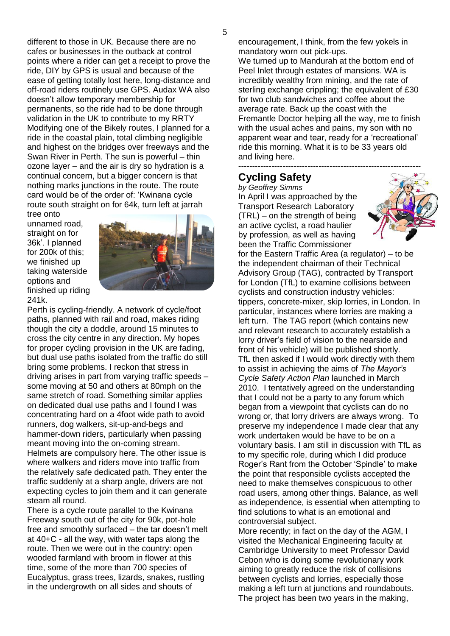different to those in UK. Because there are no cafes or businesses in the outback at control points where a rider can get a receipt to prove the ride, DIY by GPS is usual and because of the ease of getting totally lost here, long-distance and off-road riders routinely use GPS. Audax WA also doesn't allow temporary membership for permanents, so the ride had to be done through validation in the UK to contribute to my RRTY Modifying one of the Bikely routes, I planned for a ride in the coastal plain, total climbing negligible and highest on the bridges over freeways and the Swan River in Perth. The sun is powerful – thin ozone layer – and the air is dry so hydration is a continual concern, but a bigger concern is that nothing marks junctions in the route. The route card would be of the order of: 'Kwinana cycle route south straight on for 64k, turn left at jarrah

tree onto unnamed road, straight on for 36k'. I planned for 200k of this; we finished up taking waterside options and finished up riding 241k.



Perth is cycling-friendly. A network of cycle/foot paths, planned with rail and road, makes riding though the city a doddle, around 15 minutes to cross the city centre in any direction. My hopes for proper cycling provision in the UK are fading, but dual use paths isolated from the traffic do still bring some problems. I reckon that stress in driving arises in part from varying traffic speeds – some moving at 50 and others at 80mph on the same stretch of road. Something similar applies on dedicated dual use paths and I found I was concentrating hard on a 4foot wide path to avoid runners, dog walkers, sit-up-and-begs and hammer-down riders, particularly when passing meant moving into the on-coming stream. Helmets are compulsory here. The other issue is where walkers and riders move into traffic from the relatively safe dedicated path. They enter the traffic suddenly at a sharp angle, drivers are not expecting cycles to join them and it can generate steam all round.

There is a cycle route parallel to the Kwinana Freeway south out of the city for 90k, pot-hole free and smoothly surfaced – the tar doesn't melt at 40+C - all the way, with water taps along the route. Then we were out in the country: open wooded farmland with broom in flower at this time, some of the more than 700 species of Eucalyptus, grass trees, lizards, snakes, rustling in the undergrowth on all sides and shouts of

encouragement, I think, from the few yokels in mandatory worn out pick-ups. We turned up to Mandurah at the bottom end of Peel Inlet through estates of mansions. WA is incredibly wealthy from mining, and the rate of sterling exchange crippling; the equivalent of £30 for two club sandwiches and coffee about the average rate. Back up the coast with the Fremantle Doctor helping all the way, me to finish with the usual aches and pains, my son with no apparent wear and tear, ready for a 'recreational' ride this morning. What it is to be 33 years old and living here.

# **Cycling Safety**

*by Geoffrey Simms* In April I was approached by the Transport Research Laboratory (TRL) – on the strength of being an active cyclist, a road haulier by profession, as well as having been the Traffic Commissioner



for the Eastern Traffic Area (a regulator) – to be the independent chairman of their Technical Advisory Group (TAG), contracted by Transport for London (TfL) to examine collisions between cyclists and construction industry vehicles: tippers, concrete-mixer, skip lorries, in London. In particular, instances where lorries are making a left turn. The TAG report (which contains new and relevant research to accurately establish a lorry driver's field of vision to the nearside and front of his vehicle) will be published shortly. TfL then asked if I would work directly with them to assist in achieving the aims of *The Mayor's Cycle Safety Action Plan* launched in March 2010. I tentatively agreed on the understanding that I could not be a party to any forum which began from a viewpoint that cyclists can do no wrong or, that lorry drivers are always wrong. To preserve my independence I made clear that any work undertaken would be have to be on a voluntary basis. I am still in discussion with TfL as to my specific role, during which I did produce Roger's Rant from the October 'Spindle' to make the point that responsible cyclists accepted the need to make themselves conspicuous to other road users, among other things. Balance, as well as independence, is essential when attempting to find solutions to what is an emotional and controversial subject.

More recently; in fact on the day of the AGM, I visited the Mechanical Engineering faculty at Cambridge University to meet Professor David Cebon who is doing some revolutionary work aiming to greatly reduce the risk of collisions between cyclists and lorries, especially those making a left turn at junctions and roundabouts. The project has been two years in the making,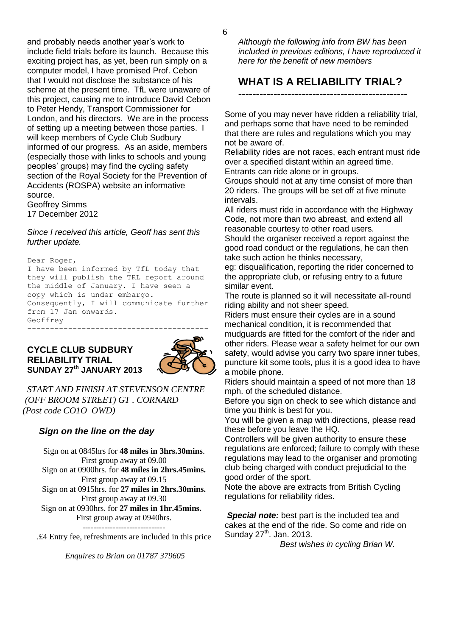and probably needs another year's work to include field trials before its launch. Because this exciting project has, as yet, been run simply on a computer model, I have promised Prof. Cebon that I would not disclose the substance of his scheme at the present time. TfL were unaware of this project, causing me to introduce David Cebon to Peter Hendy, Transport Commissioner for London, and his directors. We are in the process of setting up a meeting between those parties. I will keep members of Cycle Club Sudbury informed of our progress. As an aside, members (especially those with links to schools and young peoples' groups) may find the cycling safety section of the Royal Society for the Prevention of Accidents (ROSPA) website an informative source.

Geoffrey Simms 17 December 2012

#### *Since I received this article, Geoff has sent this further update.*

Dear Roger, I have been informed by TfL today that they will publish the TRL report around the middle of January. I have seen a copy which is under embargo. Consequently, I will communicate further from 17 Jan onwards. Geoffrey ----------------------------------------

#### **CYCLE CLUB SUDBURY RELIABILITY TRIAL SUNDAY 27th JANUARY 2013**



 *START AND FINISH AT STEVENSON CENTRE (OFF BROOM STREET) GT . CORNARD (Post code CO1O OWD)*

## *Sign on the line on the day*

Sign on at 0845hrs for **48 miles in 3hrs.30mins**. First group away at 09.00 Sign on at 0900hrs. for **48 miles in 2hrs.45mins.** First group away at 09.15 Sign on at 0915hrs. for **27 miles in 2hrs.30mins.** First group away at 09.30 Sign on at 0930hrs. for **27 miles in 1hr.45mins.** First group away at 0940hrs.

.£4 Entry fee, refreshments are included in this price

*Enquires to Brian on 01787 379605*

*Although the following info from BW has been included in previous editions, I have reproduced it here for the benefit of new members*

# **WHAT IS A RELIABILITY TRIAL?**

------------------------------------------------

Some of you may never have ridden a reliability trial, and perhaps some that have need to be reminded that there are rules and regulations which you may not be aware of.

Reliability rides are **not** races, each entrant must ride over a specified distant within an agreed time. Entrants can ride alone or in groups.

Groups should not at any time consist of more than 20 riders. The groups will be set off at five minute intervals.

All riders must ride in accordance with the Highway Code, not more than two abreast, and extend all reasonable courtesy to other road users.

Should the organiser received a report against the good road conduct or the regulations, he can then take such action he thinks necessary,

eg: disqualification, reporting the rider concerned to the appropriate club, or refusing entry to a future similar event.

The route is planned so it will necessitate all-round riding ability and not sheer speed.

Riders must ensure their cycles are in a sound mechanical condition, it is recommended that mudguards are fitted for the comfort of the rider and other riders. Please wear a safety helmet for our own safety, would advise you carry two spare inner tubes, puncture kit some tools, plus it is a good idea to have a mobile phone.

Riders should maintain a speed of not more than 18 mph. of the scheduled distance.

Before you sign on check to see which distance and time you think is best for you.

You will be given a map with directions, please read these before you leave the HQ.

Controllers will be given authority to ensure these regulations are enforced; failure to comply with these regulations may lead to the organiser and promoting club being charged with conduct prejudicial to the good order of the sport.

Note the above are extracts from British Cycling regulations for reliability rides.

**Special note:** best part is the included tea and cakes at the end of the ride. So come and ride on Sunday 27<sup>th</sup>. Jan. 2013.

*Best wishes in cycling Brian W.*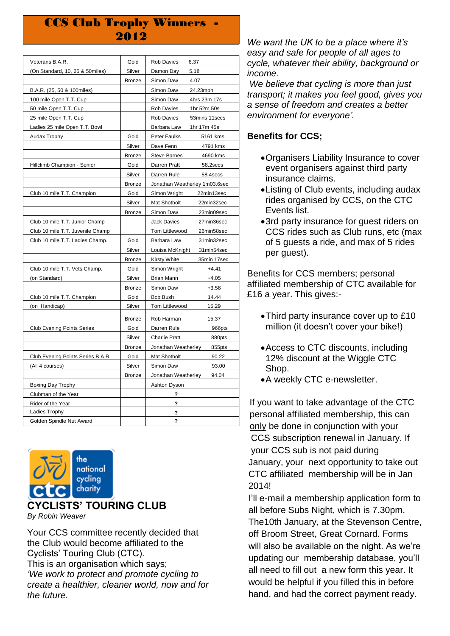# **CCS Club Trophy Winners** 2012

| Veterans B.A.R.                   | Gold          | Rob Davies<br>6.37                 |  |
|-----------------------------------|---------------|------------------------------------|--|
| (On Standard, 10, 25 & 50miles)   | Silver        | Damon Day<br>5.18                  |  |
|                                   | Bronze        | Simon Daw<br>4.07                  |  |
| B.A.R. (25, 50 & 100miles)        |               | Simon Daw<br>24.23mph              |  |
| 100 mile Open T.T. Cup            |               | Simon Daw<br>4hrs 23m 17s          |  |
| 50 mile Open T.T. Cup             |               | <b>Rob Davies</b><br>1hr 52m 50s   |  |
| 25 mile Open T.T. Cup             |               | <b>Rob Davies</b><br>53mins 11secs |  |
| Ladies 25 mile Open T.T. Bowl     |               | Barbara Law<br>1hr 17m 45s         |  |
| Audax Trophy                      | Gold          | Peter Faulks<br>5161 kms           |  |
|                                   | Silver        | Dave Fenn<br>4791 kms              |  |
|                                   | Bronze        | <b>Steve Barnes</b><br>4690 kms    |  |
| Hillclimb Champion - Senior       | Gold          | Darren Pratt<br>58.2secs           |  |
|                                   | Silver        | Darren Rule<br>58.4secs            |  |
|                                   | Bronze        | Jonathan Weatherley 1m03.6sec      |  |
| Club 10 mile T.T. Champion        | Gold          | Simon Wright<br>22min13sec         |  |
|                                   | Silver        | Mat Shotbolt<br>22min32sec         |  |
|                                   | <b>Bronze</b> | Simon Daw<br>23min09sec            |  |
| Club 10 mile T.T. Junior Champ    |               | Jack Davies<br>27min36sec          |  |
| Club 10 mile T.T. Juvenile Champ  |               | Tom Littlewood<br>26min58sec       |  |
| Club 10 mile T.T. Ladies Champ.   | Gold          | Barbara Law<br>31min32sec          |  |
|                                   | Silver        | Louisa McKnight<br>31min54sec      |  |
|                                   | Bronze        | Kirsty White<br>35min 17sec        |  |
| Club 10 mile T.T. Vets Champ.     | Gold          | Simon Wright<br>$+4.41$            |  |
| (on Standard)                     | Silver        | Brian Mann<br>$+4.05$              |  |
|                                   | Bronze        | Simon Daw<br>$+3.58$               |  |
| Club 10 mile T.T. Champion        | Gold          | Bob Bush<br>14.44                  |  |
| (on Handicap)                     | Silver        | Tom Littlewood<br>15.29            |  |
|                                   | Bronze        | Rob Harman<br>15.37                |  |
| <b>Club Evening Points Series</b> | Gold          | Darren Rule<br>966pts              |  |
|                                   | Silver        | <b>Charlie Pratt</b><br>880pts     |  |
|                                   | <b>Bronze</b> | Jonathan Weatherley<br>855pts      |  |
| Club Evening Points Series B.A.R. | Gold          | Mat Shotbolt<br>90.22              |  |
| (All 4 courses)                   | Silver        | Simon Daw<br>93.00                 |  |
|                                   | <b>Bronze</b> | Jonathan Weatherley<br>94.04       |  |
| Boxing Day Trophy                 |               | Ashton Dyson                       |  |
| Clubman of the Year               |               | ?                                  |  |
| Rider of the Year                 |               | ?                                  |  |
| Ladies Trophy                     |               | ?                                  |  |
| Golden Spindle Nut Award          |               | ?                                  |  |
|                                   |               |                                    |  |



### **CYCLISTS' TOURING CLUB** *By Robin Weaver*

Your CCS committee recently decided that the Club would become affiliated to the Cyclists' Touring Club (CTC). This is an organisation which says; *'We work to protect and promote cycling to create a healthier, cleaner world, now and for the future.* 

*We want the UK to be a place where it's easy and safe for people of all ages to cycle, whatever their ability, background or income.*

*We believe that cycling is more than just transport; it makes you feel good, gives you a sense of freedom and creates a better environment for everyone'.*

## **Benefits for CCS;**

- Organisers Liability Insurance to cover event organisers against third party insurance claims.
- Listing of Club events, including audax rides organised by CCS, on the CTC Events list.
- 3rd party insurance for guest riders on CCS rides such as Club runs, etc (max of 5 guests a ride, and max of 5 rides per guest).

Benefits for CCS members; personal affiliated membership of CTC available for £16 a year. This gives:-

- Third party insurance cover up to £10 million (it doesn't cover your bike!)
- Access to CTC discounts, including 12% discount at the Wiggle CTC Shop.
- A weekly CTC e-newsletter.

If you want to take advantage of the CTC personal affiliated membership, this can only be done in conjunction with your CCS subscription renewal in January. If your CCS sub is not paid during January, your next opportunity to take out CTC affiliated membership will be in Jan 2014!

 I'll e-mail a membership application form to all before Subs Night, which is 7.30pm, The10th January, at the Stevenson Centre, off Broom Street, Great Cornard. Forms will also be available on the night. As we're updating our membership database, you'll all need to fill out a new form this year. It would be helpful if you filled this in before hand, and had the correct payment ready.